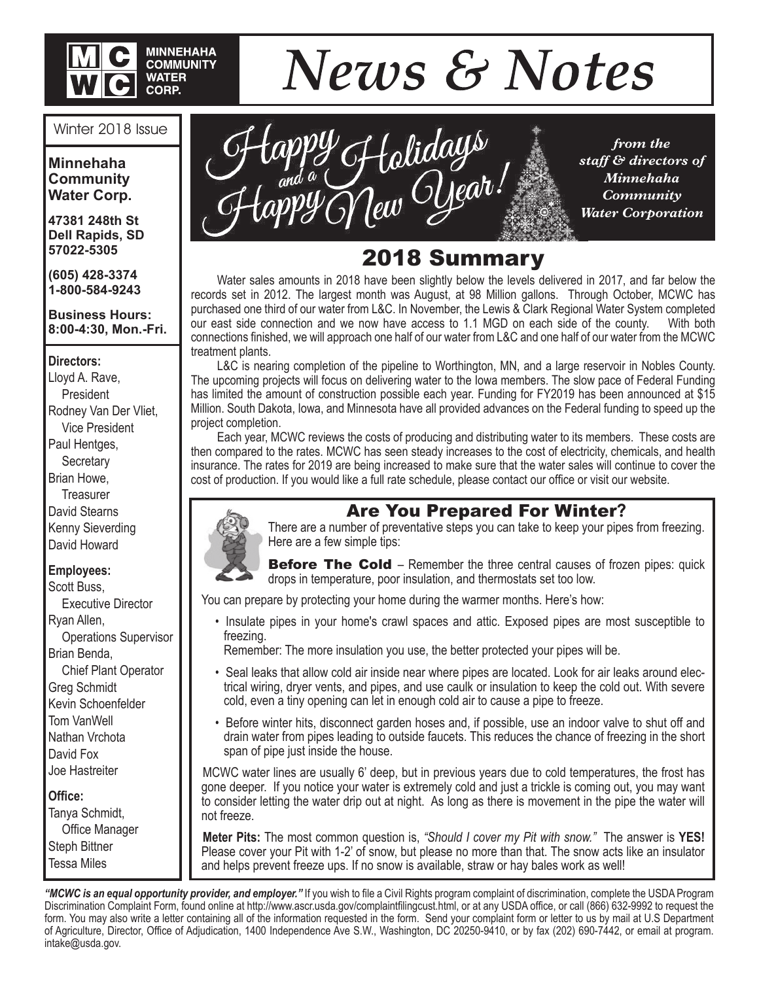

# **News & Notes**

#### Winter 2018 Issue

**Minnehaha Community Water Corp.**

**47381 248th St Dell Rapids, SD 57022-5305**

**(605) 428-3374 1-800-584-9243**

#### **Business Hours: 8:00-4:30, Mon.-Fri.**

#### **Directors:**

Lloyd A. Rave, President Rodney Van Der Vliet, Vice President Paul Hentges, **Secretary** Brian Howe, **Treasurer** David Stearns Kenny Sieverding David Howard

#### **Employees:**

Scott Buss, Executive Director Ryan Allen, Operations Supervisor Brian Benda, Chief Plant Operator Greg Schmidt Kevin Schoenfelder Tom VanWell Nathan Vrchota David Fox Joe Hastreiter

#### **Office:**

Tanya Schmidt, Office Manager Steph Bittner Tessa Miles



*from the staff & directors of Minnehaha Community Water Corporation*

### 2018 Summary

 Water sales amounts in 2018 have been slightly below the levels delivered in 2017, and far below the records set in 2012. The largest month was August, at 98 Million gallons. Through October, MCWC has purchased one third of our water from L&C. In November, the Lewis & Clark Regional Water System completed our east side connection and we now have access to 1.1 MGD on each side of the county. With both connections finished, we will approach one half of our water from L&C and one half of our water from the MCWC treatment plants.

 L&C is nearing completion of the pipeline to Worthington, MN, and a large reservoir in Nobles County. The upcoming projects will focus on delivering water to the Iowa members. The slow pace of Federal Funding has limited the amount of construction possible each year. Funding for FY2019 has been announced at \$15 Million. South Dakota, Iowa, and Minnesota have all provided advances on the Federal funding to speed up the project completion.

 Each year, MCWC reviews the costs of producing and distributing water to its members. These costs are then compared to the rates. MCWC has seen steady increases to the cost of electricity, chemicals, and health insurance. The rates for 2019 are being increased to make sure that the water sales will continue to cover the cost of production. If you would like a full rate schedule, please contact our office or visit our website.



Are You Prepared For Winter**?** There are a number of preventative steps you can take to keep your pipes from freezing. Here are a few simple tips:

**Before The Cold** – Remember the three central causes of frozen pipes: quick drops in temperature, poor insulation, and thermostats set too low.

You can prepare by protecting your home during the warmer months. Here's how:

 • Insulate pipes in your home's crawl spaces and attic. Exposed pipes are most susceptible to freezing.

Remember: The more insulation you use, the better protected your pipes will be.

- Seal leaks that allow cold air inside near where pipes are located. Look for air leaks around electrical wiring, dryer vents, and pipes, and use caulk or insulation to keep the cold out. With severe cold, even a tiny opening can let in enough cold air to cause a pipe to freeze.
- • Before winter hits, disconnect garden hoses and, if possible, use an indoor valve to shut off and drain water from pipes leading to outside faucets. This reduces the chance of freezing in the short span of pipe just inside the house.

MCWC water lines are usually 6' deep, but in previous years due to cold temperatures, the frost has gone deeper. If you notice your water is extremely cold and just a trickle is coming out, you may want to consider letting the water drip out at night. As long as there is movement in the pipe the water will not freeze.

**Meter Pits:** The most common question is, *"Should I cover my Pit with snow."* The answer is **YES!** Please cover your Pit with 1-2' of snow, but please no more than that. The snow acts like an insulator and helps prevent freeze ups. If no snow is available, straw or hay bales work as well!

*"MCWC is an equal opportunity provider, and employer."* If you wish to file a Civil Rights program complaint of discrimination, complete the USDA Program Discrimination Complaint Form, found online at http://www.ascr.usda.gov/complaintfilingcust.html, or at any USDA office, or call (866) 632-9992 to request the form. You may also write a letter containing all of the information requested in the form. Send your complaint form or letter to us by mail at U.S Department of Agriculture, Director, Office of Adjudication, 1400 Independence Ave S.W., Washington, DC 20250-9410, or by fax (202) 690-7442, or email at program. intake@usda.gov.